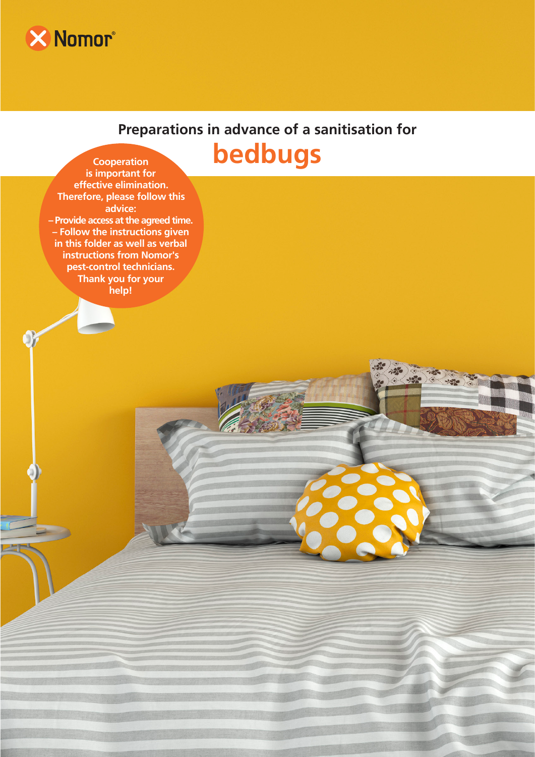

# **Preparations in advance of a sanitisation for**



**is important for effective elimination. Therefore, please follow this advice: – Provide access at the agreed time. – Follow the instructions given in this folder as well as verbal instructions from Nomor's pest-control technicians. Thank you for your help!**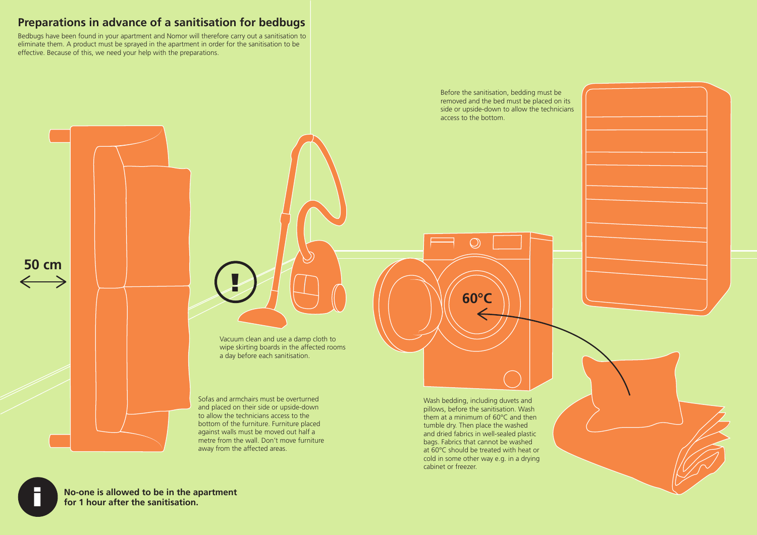# **Preparations in advance of a sanitisation for bedbugs**

Bedbugs have been found in your apartment and Nomor will therefore carry out a sanitisation to eliminate them. A product must be sprayed in the apartment in order for the sanitisation to be effective. Because of this, we need your help with the preparations.

> Before the sanitisation, bedding must be removed and the bed must be placed on its side or upside-down to allow the technicians access to the bottom.

Wash bedding, including duvets and pillows, before the sanitisation. Wash them at a minimum of 60°C and then tumble dry. Then place the washed and dried fabrics in well-sealed plastic bags. Fabrics that cannot be washed at 60°C should be treated with heat or cold in some other way e.g. in a drying cabinet or freezer.

Vacuum clean and use a damp cloth to wipe skirting boards in the affected rooms a day before each sanitisation.

Sofas and armchairs must be overturned and placed on their side or upside-down to allow the technicians access to the bottom of the furniture. Furniture placed against walls must be moved out half a metre from the wall. Don't move furniture away from the affected areas.

**50 cm**

**60°C** 

 $\bigcirc$ 



**No-one is allowed to be in the apartment for 1 hour after the sanitisation.** 

!